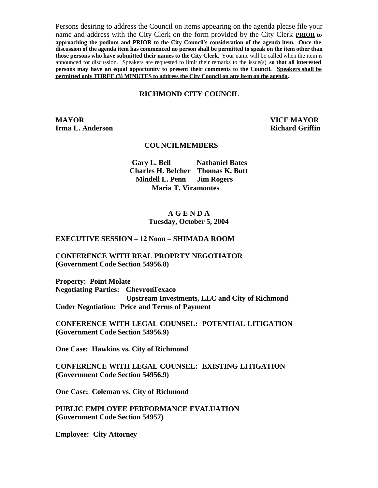Persons desiring to address the Council on items appearing on the agenda please file your name and address with the City Clerk on the form provided by the City Clerk **PRIOR to approaching the podium and PRIOR to the City Council's consideration of the agenda item. Once the discussion of the agenda item has commenced no person shall be permitted to speak on the item other than those persons who have submitted their names to the City Clerk.** Your name will be called when the item is announced for discussion. Speakers are requested to limit their remarks to the issue(s) **so that all interested persons may have an equal opportunity to present their comments to the Council. Speakers shall be permitted only THREE (3) MINUTES to address the City Council on any item on the agenda.**

#### **RICHMOND CITY COUNCIL**

**MAYOR VICE MAYOR Irma L. Anderson Richard Griffin** 

#### **COUNCILMEMBERS**

**Gary L. Bell Nathaniel Bates Charles H. Belcher Thomas K. Butt Mindell L. Penn Jim Rogers Maria T. Viramontes**

#### **A G E N D A Tuesday, October 5, 2004**

#### **EXECUTIVE SESSION – 12 Noon – SHIMADA ROOM**

#### **CONFERENCE WITH REAL PROPRTY NEGOTIATOR (Government Code Section 54956.8)**

**Property: Point Molate Negotiating Parties: ChevronTexaco Upstream Investments, LLC and City of Richmond Under Negotiation: Price and Terms of Payment**

**CONFERENCE WITH LEGAL COUNSEL: POTENTIAL LITIGATION (Government Code Section 54956.9)**

**One Case: Hawkins vs. City of Richmond**

**CONFERENCE WITH LEGAL COUNSEL: EXISTING LITIGATION (Government Code Section 54956.9)**

**One Case: Coleman vs. City of Richmond**

**PUBLIC EMPLOYEE PERFORMANCE EVALUATION (Government Code Section 54957)**

**Employee: City Attorney**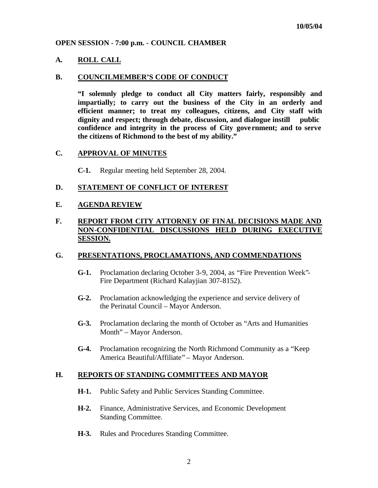### **OPEN SESSION - 7:00 p.m. - COUNCIL CHAMBER**

### **A. ROLL CALL**

#### **B. COUNCILMEMBER'S CODE OF CONDUCT**

**"I solemnly pledge to conduct all City matters fairly, responsibly and impartially; to carry out the business of the City in an orderly and efficient manner; to treat my colleagues, citizens, and City staff with dignity and respect; through debate, discussion, and dialogue instill public confidence and integrity in the process of City gove rnment; and to serve the citizens of Richmond to the best of my ability."**

### **C. APPROVAL OF MINUTES**

**C-1.** Regular meeting held September 28, 2004.

### **D. STATEMENT OF CONFLICT OF INTEREST**

## **E. AGENDA REVIEW**

## **F. REPORT FROM CITY ATTORNEY OF FINAL DECISIONS MADE AND NON-CONFIDENTIAL DISCUSSIONS HELD DURING EXECUTIVE SESSION.**

### **G. PRESENTATIONS, PROCLAMATIONS, AND COMMENDATIONS**

- **G-1.** Proclamation declaring October 3-9, 2004, as "Fire Prevention Week"- Fire Department (Richard Kalayjian 307-8152).
- **G-2.** Proclamation acknowledging the experience and service delivery of the Perinatal Council – Mayor Anderson.
- **G-3.** Proclamation declaring the month of October as "Arts and Humanities Month" – Mayor Anderson.
- **G-4.** Proclamation recognizing the North Richmond Community as a "Keep America Beautiful/Affiliate" – Mayor Anderson.

### **H. REPORTS OF STANDING COMMITTEES AND MAYOR**

- **H-1.** Public Safety and Public Services Standing Committee.
- **H-2.** Finance, Administrative Services, and Economic Development Standing Committee.
- **H-3.** Rules and Procedures Standing Committee.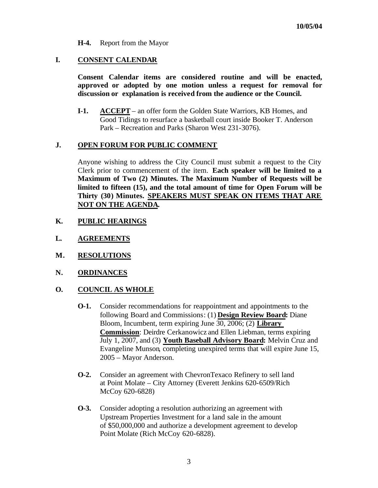**H-4.** Report from the Mayor

### **I. CONSENT CALENDAR**

**Consent Calendar items are considered routine and will be enacted, approved or adopted by one motion unless a request for removal for discussion or explanation is received from the audience or the Council.** 

**I-1. ACCEPT** – an offer form the Golden State Warriors, KB Homes, and Good Tidings to resurface a basketball court inside Booker T. Anderson Park – Recreation and Parks (Sharon West 231-3076).

### **J. OPEN FORUM FOR PUBLIC COMMENT**

Anyone wishing to address the City Council must submit a request to the City Clerk prior to commencement of the item. **Each speaker will be limited to a Maximum of Two (2) Minutes. The Maximum Number of Requests will be limited to fifteen (15), and the total amount of time for Open Forum will be Thirty (30) Minutes. SPEAKERS MUST SPEAK ON ITEMS THAT ARE NOT ON THE AGENDA.**

- **K. PUBLIC HEARINGS**
- **L. AGREEMENTS**
- **M. RESOLUTIONS**
- **N. ORDINANCES**

## **O. COUNCIL AS WHOLE**

- **O-1.** Consider recommendations for reappointment and appointments to the following Board and Commissions: (1) **Design Review Board:** Diane Bloom, Incumbent, term expiring June 30, 2006; (2) **Library Commission**: Deirdre Cerkanowicz and Ellen Liebman, terms expiring July 1, 2007, and (3) **Youth Baseball Advisory Board:** Melvin Cruz and Evangeline Munson, completing unexpired terms that will expire June 15, 2005 – Mayor Anderson.
- **O-2.** Consider an agreement with ChevronTexaco Refinery to sell land at Point Molate – City Attorney (Everett Jenkins 620-6509/Rich McCoy 620-6828)
- **O-3.** Consider adopting a resolution authorizing an agreement with Upstream Properties Investment for a land sale in the amount of \$50,000,000 and authorize a development agreement to develop Point Molate (Rich McCoy 620-6828).